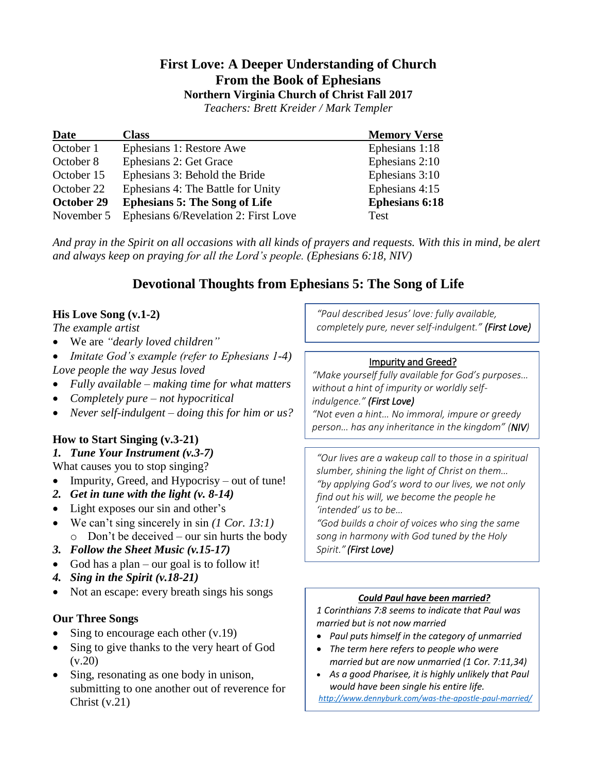# **First Love: A Deeper Understanding of Church From the Book of Ephesians**

**Northern Virginia Church of Christ Fall 2017**

*Teachers: Brett Kreider / Mark Templer* 

| <b>Date</b> | <b>Class</b>                         | <b>Memory Verse</b>   |
|-------------|--------------------------------------|-----------------------|
| October 1   | Ephesians 1: Restore Awe             | Ephesians 1:18        |
| October 8   | Ephesians 2: Get Grace               | Ephesians 2:10        |
| October 15  | Ephesians 3: Behold the Bride        | Ephesians 3:10        |
| October 22  | Ephesians 4: The Battle for Unity    | Ephesians 4:15        |
| October 29  | <b>Ephesians 5: The Song of Life</b> | <b>Ephesians 6:18</b> |
| November 5  | Ephesians 6/Revelation 2: First Love | Test                  |

*And pray in the Spirit on all occasions with all kinds of prayers and requests. With this in mind, be alert and always keep on praying for all the Lord's people. (Ephesians 6:18, NIV)*

# **Devotional Thoughts from Ephesians 5: The Song of Life**

# **His Love Song (v.1-2)**

*The example artist*

- We are *"dearly loved children"*
- *Imitate God's example (refer to Ephesians 1-4) Love people the way Jesus loved*
- *Fully available – making time for what matters*
- *Completely pure – not hypocritical*
- *Never self-indulgent – doing this for him or us?*

# **How to Start Singing (v.3-21)**

### *1. Tune Your Instrument (v.3-7)*

What causes you to stop singing?

- Impurity, Greed, and Hypocrisy out of tune!
- *2. Get in tune with the light (v. 8-14)*
- Light exposes our sin and other's
- We can't sing sincerely in sin *(1 Cor. 13:1)*
	- $\circ$  Don't be deceived our sin hurts the body
- *3. Follow the Sheet Music (v.15-17)*
- God has a plan our goal is to follow it!
- *4. Sing in the Spirit (v.18-21)*
- Not an escape: every breath sings his songs

### **Our Three Songs**

- Sing to encourage each other  $(v.19)$
- Sing to give thanks to the very heart of God  $(v.20)$
- Sing, resonating as one body in unison, submitting to one another out of reverence for Christ (v.21)

*"Paul described Jesus' love: fully available, completely pure, never self-indulgent." (First Love)*

# Impurity and Greed?

*"Make yourself fully available for God's purposes… without a hint of impurity or worldly self-*

*indulgence." (First Love)*

*"Not even a hint… No immoral, impure or greedy person… has any inheritance in the kingdom" (NIV)*

*"Our lives are a wakeup call to those in a spiritual slumber, shining the light of Christ on them… "by applying God's word to our lives, we not only find out his will, we become the people he 'intended' us to be…*

*"God builds a choir of voices who sing the same song in harmony with God tuned by the Holy Spirit." (First Love)*

### *Could Paul have been married?*

*1 Corinthians 7:8 seems to indicate that Paul was married but is not now married*

- *Paul puts himself in the category of unmarried*
- *The term here refers to people who were married but are now unmarried (1 Cor. 7:11,34)*
- *As a good Pharisee, it is highly unlikely that Paul would have been single his entire life. <http://www.dennyburk.com/was-the-apostle-paul-married/>*